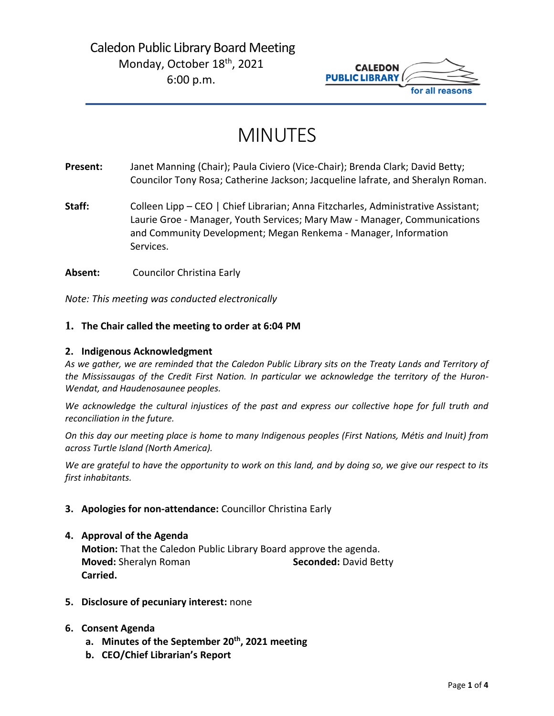## Caledon Public Library Board Meeting Monday, October 18<sup>th</sup>, 2021 6:00 p.m.



# MINUTES

**Present:** Janet Manning (Chair); Paula Civiero (Vice-Chair); Brenda Clark; David Betty; Councilor Tony Rosa; Catherine Jackson; Jacqueline lafrate, and Sheralyn Roman.

**Staff:** Colleen Lipp – CEO | Chief Librarian; Anna Fitzcharles, Administrative Assistant; Laurie Groe - Manager, Youth Services; Mary Maw - Manager, Communications and Community Development; Megan Renkema - Manager, Information Services.

**Absent:** Councilor Christina Early

*Note: This meeting was conducted electronically*

#### **1. The Chair called the meeting to order at 6:04 PM**

#### **2. Indigenous Acknowledgment**

*As we gather, we are reminded that the Caledon Public Library sits on the Treaty Lands and Territory of the Mississaugas of the Credit First Nation. In particular we acknowledge the territory of the Huron-Wendat, and Haudenosaunee peoples.*

*We acknowledge the cultural injustices of the past and express our collective hope for full truth and reconciliation in the future.*

*On this day our meeting place is home to many Indigenous peoples (First Nations, Métis and Inuit) from across Turtle Island (North America).*

*We are grateful to have the opportunity to work on this land, and by doing so, we give our respect to its first inhabitants.*

#### **3. Apologies for non-attendance:** Councillor Christina Early

#### **4. Approval of the Agenda**

**Motion:** That the Caledon Public Library Board approve the agenda. **Moved:** Sheralyn Roman **Seconded:** David Betty **Carried.**

**5. Disclosure of pecuniary interest:** none

#### **6. Consent Agenda**

- **a. Minutes of the September 20th, 2021 meeting**
- **b. CEO/Chief Librarian's Report**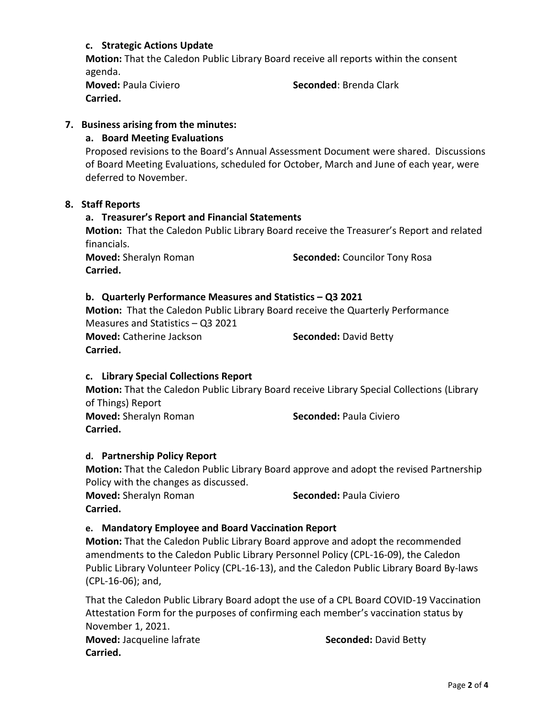### **c. Strategic Actions Update**

**Motion:** That the Caledon Public Library Board receive all reports within the consent agenda.

**Moved: Paula Civiero <b>Seconded**: Brenda Clark **Carried.** 

#### **7. Business arising from the minutes:**

#### **a. Board Meeting Evaluations**

Proposed revisions to the Board's Annual Assessment Document were shared. Discussions of Board Meeting Evaluations, scheduled for October, March and June of each year, were deferred to November.

#### **8. Staff Reports**

#### **a. Treasurer's Report and Financial Statements**

**Motion:** That the Caledon Public Library Board receive the Treasurer's Report and related financials.

**Carried.**

**Moved:** Sheralyn Roman **Seconded:** Councilor Tony Rosa

#### **b. Quarterly Performance Measures and Statistics – Q3 2021**

**Motion:** That the Caledon Public Library Board receive the Quarterly Performance Measures and Statistics – Q3 2021

**Moved:** Catherine Jackson **Seconded:** David Betty **Carried.** 

#### **c. Library Special Collections Report**

**Motion:** That the Caledon Public Library Board receive Library Special Collections (Library of Things) Report **Moved:** Sheralyn Roman **Seconded:** Paula Civiero **Carried.**

#### **d. Partnership Policy Report**

**Motion:** That the Caledon Public Library Board approve and adopt the revised Partnership Policy with the changes as discussed.

**Moved:** Sheralyn Roman **Seconded:** Paula Civiero **Carried.** 

#### **e. Mandatory Employee and Board Vaccination Report**

**Motion:** That the Caledon Public Library Board approve and adopt the recommended amendments to the Caledon Public Library Personnel Policy (CPL-16-09), the Caledon Public Library Volunteer Policy (CPL-16-13), and the Caledon Public Library Board By-laws (CPL-16-06); and,

That the Caledon Public Library Board adopt the use of a CPL Board COVID-19 Vaccination Attestation Form for the purposes of confirming each member's vaccination status by November 1, 2021. **Moved:** Jacqueline lafrate **Seconded:** David Betty

**Carried.**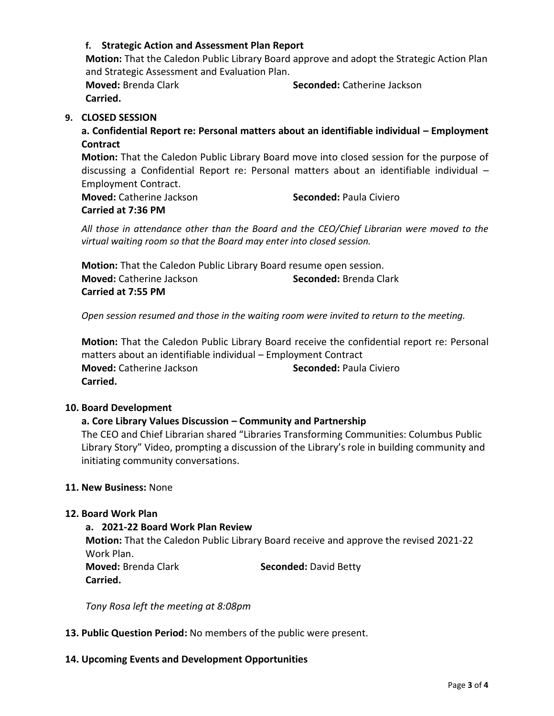### **f. Strategic Action and Assessment Plan Report**

**Motion:** That the Caledon Public Library Board approve and adopt the Strategic Action Plan and Strategic Assessment and Evaluation Plan. **Moved:** Brenda Clark **Seconded:** Catherine Jackson

**Carried.** 

#### **9. CLOSED SESSION**

**a. Confidential Report re: Personal matters about an identifiable individual – Employment Contract** 

**Motion:** That the Caledon Public Library Board move into closed session for the purpose of discussing a Confidential Report re: Personal matters about an identifiable individual – Employment Contract.

**Moved:** Catherine Jackson **Seconded:** Paula Civiero **Carried at 7:36 PM**

*All those in attendance other than the Board and the CEO/Chief Librarian were moved to the virtual waiting room so that the Board may enter into closed session.*

**Motion:** That the Caledon Public Library Board resume open session. **Moved:** Catherine Jackson **Seconded:** Brenda Clark **Carried at 7:55 PM**

*Open session resumed and those in the waiting room were invited to return to the meeting.*

**Motion:** That the Caledon Public Library Board receive the confidential report re: Personal matters about an identifiable individual – Employment Contract **Moved:** Catherine Jackson **Seconded:** Paula Civiero **Carried.** 

#### **10. Board Development**

### **a. Core Library Values Discussion – Community and Partnership**

The CEO and Chief Librarian shared "Libraries Transforming Communities: Columbus Public Library Story" Video, prompting a discussion of the Library's role in building community and initiating community conversations.

#### **11. New Business:** None

#### **12. Board Work Plan**

#### **a. 2021-22 Board Work Plan Review**

**Motion:** That the Caledon Public Library Board receive and approve the revised 2021-22 Work Plan. **Moved:** Brenda Clark **Seconded:** David Betty

**Carried.** 

*Tony Rosa left the meeting at 8:08pm*

- **13. Public Question Period:** No members of the public were present.
- **14. Upcoming Events and Development Opportunities**